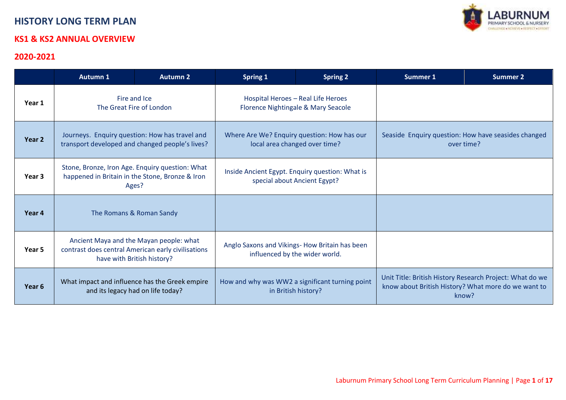# **HISTORY LON**

#### **KS1 & KS2 ANN**

#### **2020-2021**

**Year 3**

**Year 4** 

**Year 5**

Year 6 What impact and influence has the Greek empire

and its legacy had on life today?

| 20-2021 | LABURNUM<br><b>STORY LONG TERM PLAN</b><br><b>1 &amp; KS2 ANNUAL OVERVIEW</b>                               |                                                                                                                             |                                                                                 |                 |                 |                                                                   |  |
|---------|-------------------------------------------------------------------------------------------------------------|-----------------------------------------------------------------------------------------------------------------------------|---------------------------------------------------------------------------------|-----------------|-----------------|-------------------------------------------------------------------|--|
|         | <b>Autumn 1</b>                                                                                             | <b>Autumn 2</b>                                                                                                             | <b>Spring 1</b>                                                                 | <b>Spring 2</b> | <b>Summer 1</b> | <b>Summer 2</b>                                                   |  |
| Year 1  | Fire and Ice<br>The Great Fire of London                                                                    |                                                                                                                             | Hospital Heroes - Real Life Heroes<br>Florence Nightingale & Mary Seacole       |                 |                 |                                                                   |  |
| Year 2  | Journeys. Enquiry question: How has travel and<br>transport developed and changed people's lives?           |                                                                                                                             | Where Are We? Enquiry question: How has our<br>local area changed over time?    |                 |                 | Seaside Enquiry question: How have seasides changed<br>over time? |  |
| Year 3  | Stone, Bronze, Iron Age. Enquiry question: What<br>happened in Britain in the Stone, Bronze & Iron<br>Ages? |                                                                                                                             | Inside Ancient Egypt. Enquiry question: What is<br>special about Ancient Egypt? |                 |                 |                                                                   |  |
| Year 4  |                                                                                                             | The Romans & Roman Sandy                                                                                                    |                                                                                 |                 |                 |                                                                   |  |
| Year 5  |                                                                                                             | Ancient Maya and the Mayan people: what<br>contrast does central American early civilisations<br>have with British history? | Anglo Saxons and Vikings-How Britain has been<br>influenced by the wider world. |                 |                 |                                                                   |  |

How and why was WW2 a significant turning point in British history?

Unit Title: British History Research Project: What do we know about British History? What more do we want to know?

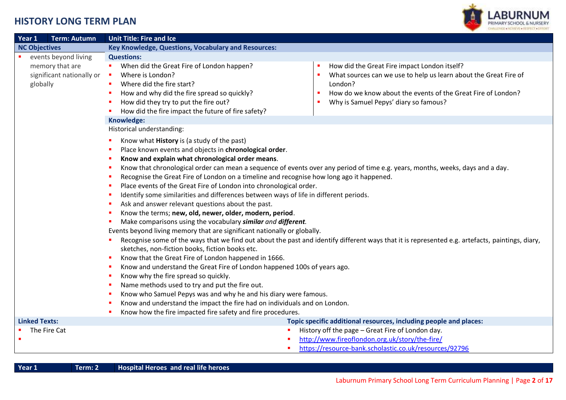

| Year 1<br><b>Term: Autumn</b>                                                    | <b>Unit Title: Fire and Ice</b>                                                                                                                                                                                                                                                                                                                                                                                                                                                                                                                                                                                                                                                                                                                                                                                                                                                                                                                                                                                                                                                                                                                                                                                                                                                                                                                                                                                                                                                                   |
|----------------------------------------------------------------------------------|---------------------------------------------------------------------------------------------------------------------------------------------------------------------------------------------------------------------------------------------------------------------------------------------------------------------------------------------------------------------------------------------------------------------------------------------------------------------------------------------------------------------------------------------------------------------------------------------------------------------------------------------------------------------------------------------------------------------------------------------------------------------------------------------------------------------------------------------------------------------------------------------------------------------------------------------------------------------------------------------------------------------------------------------------------------------------------------------------------------------------------------------------------------------------------------------------------------------------------------------------------------------------------------------------------------------------------------------------------------------------------------------------------------------------------------------------------------------------------------------------|
| <b>NC Objectives</b>                                                             | Key Knowledge, Questions, Vocabulary and Resources:                                                                                                                                                                                                                                                                                                                                                                                                                                                                                                                                                                                                                                                                                                                                                                                                                                                                                                                                                                                                                                                                                                                                                                                                                                                                                                                                                                                                                                               |
| events beyond living<br>memory that are<br>significant nationally or<br>globally | <b>Questions:</b><br>When did the Great Fire of London happen?<br>How did the Great Fire impact London itself?<br>×<br>Where is London?<br>What sources can we use to help us learn about the Great Fire of<br>$\blacksquare$<br>Where did the fire start?<br>London?<br>How and why did the fire spread so quickly?<br>How do we know about the events of the Great Fire of London?<br>п<br>How did they try to put the fire out?<br>Why is Samuel Pepys' diary so famous?<br>×<br>How did the fire impact the future of fire safety?                                                                                                                                                                                                                                                                                                                                                                                                                                                                                                                                                                                                                                                                                                                                                                                                                                                                                                                                                            |
|                                                                                  | Knowledge:                                                                                                                                                                                                                                                                                                                                                                                                                                                                                                                                                                                                                                                                                                                                                                                                                                                                                                                                                                                                                                                                                                                                                                                                                                                                                                                                                                                                                                                                                        |
|                                                                                  | Historical understanding:<br>Know what History is (a study of the past)<br>Place known events and objects in chronological order.<br>Know and explain what chronological order means.<br>Know that chronological order can mean a sequence of events over any period of time e.g. years, months, weeks, days and a day.<br>Recognise the Great Fire of London on a timeline and recognise how long ago it happened.<br>Place events of the Great Fire of London into chronological order.<br>Identify some similarities and differences between ways of life in different periods.<br>Ask and answer relevant questions about the past.<br>Know the terms; new, old, newer, older, modern, period.<br>Make comparisons using the vocabulary similar and different.<br>Events beyond living memory that are significant nationally or globally.<br>Recognise some of the ways that we find out about the past and identify different ways that it is represented e.g. artefacts, paintings, diary,<br>sketches, non-fiction books, fiction books etc.<br>Know that the Great Fire of London happened in 1666.<br>Know and understand the Great Fire of London happened 100s of years ago.<br>Know why the fire spread so quickly.<br>Name methods used to try and put the fire out.<br>Know who Samuel Pepys was and why he and his diary were famous.<br>Know and understand the impact the fire had on individuals and on London.<br>Know how the fire impacted fire safety and fire procedures. |
| <b>Linked Texts:</b>                                                             | Topic specific additional resources, including people and places:                                                                                                                                                                                                                                                                                                                                                                                                                                                                                                                                                                                                                                                                                                                                                                                                                                                                                                                                                                                                                                                                                                                                                                                                                                                                                                                                                                                                                                 |
| The Fire Cat<br>п<br>п                                                           | History off the page - Great Fire of London day.<br>$\blacksquare$<br>http://www.fireoflondon.org.uk/story/the-fire/<br>https://resource-bank.scholastic.co.uk/resources/92796                                                                                                                                                                                                                                                                                                                                                                                                                                                                                                                                                                                                                                                                                                                                                                                                                                                                                                                                                                                                                                                                                                                                                                                                                                                                                                                    |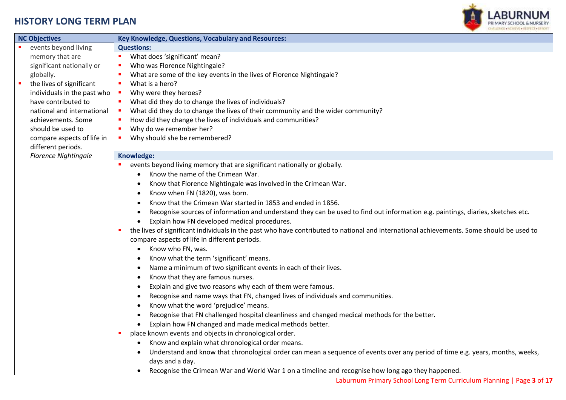

|                |                             | CHARLINGS ANCHEVE CRESTED (1)                                                                                                                 |
|----------------|-----------------------------|-----------------------------------------------------------------------------------------------------------------------------------------------|
|                | <b>NC Objectives</b>        | Key Knowledge, Questions, Vocabulary and Resources:                                                                                           |
|                | events beyond living        | <b>Questions:</b>                                                                                                                             |
|                | memory that are             | What does 'significant' mean?<br>ш                                                                                                            |
|                | significant nationally or   | Who was Florence Nightingale?<br>п                                                                                                            |
|                | globally.                   | What are some of the key events in the lives of Florence Nightingale?<br>п                                                                    |
| $\blacksquare$ | the lives of significant    | What is a hero?<br>ш                                                                                                                          |
|                | individuals in the past who | Why were they heroes?<br>$\blacksquare$                                                                                                       |
|                | have contributed to         | What did they do to change the lives of individuals?<br>ш                                                                                     |
|                | national and international  | What did they do to change the lives of their community and the wider community?<br>×                                                         |
|                | achievements. Some          | How did they change the lives of individuals and communities?<br>×                                                                            |
|                | should be used to           | Why do we remember her?<br>ш                                                                                                                  |
|                | compare aspects of life in  | Why should she be remembered?<br>$\blacksquare$                                                                                               |
|                | different periods.          |                                                                                                                                               |
|                | <b>Florence Nightingale</b> | Knowledge:                                                                                                                                    |
|                |                             | events beyond living memory that are significant nationally or globally.                                                                      |
|                |                             | Know the name of the Crimean War.<br>$\bullet$                                                                                                |
|                |                             | Know that Florence Nightingale was involved in the Crimean War.<br>$\bullet$                                                                  |
|                |                             | Know when FN (1820), was born.<br>$\bullet$                                                                                                   |
|                |                             | Know that the Crimean War started in 1853 and ended in 1856.                                                                                  |
|                |                             | Recognise sources of information and understand they can be used to find out information e.g. paintings, diaries, sketches etc.<br>$\bullet$  |
|                |                             | Explain how FN developed medical procedures.                                                                                                  |
|                |                             | the lives of significant individuals in the past who have contributed to national and international achievements. Some should be used to<br>п |
|                |                             | compare aspects of life in different periods.                                                                                                 |
|                |                             | Know who FN, was.<br>$\bullet$                                                                                                                |
|                |                             | Know what the term 'significant' means.                                                                                                       |
|                |                             | Name a minimum of two significant events in each of their lives.                                                                              |
|                |                             | Know that they are famous nurses.<br>$\bullet$                                                                                                |
|                |                             | Explain and give two reasons why each of them were famous.<br>$\bullet$                                                                       |
|                |                             | Recognise and name ways that FN, changed lives of individuals and communities.<br>$\bullet$                                                   |
|                |                             | Know what the word 'prejudice' means.<br>$\bullet$                                                                                            |
|                |                             |                                                                                                                                               |
|                |                             | Recognise that FN challenged hospital cleanliness and changed medical methods for the better.<br>$\bullet$                                    |
|                |                             | Explain how FN changed and made medical methods better.                                                                                       |
|                |                             | place known events and objects in chronological order.<br>ш                                                                                   |
|                |                             | Know and explain what chronological order means.                                                                                              |
|                |                             | Understand and know that chronological order can mean a sequence of events over any period of time e.g. years, months, weeks,                 |
|                |                             | days and a day.                                                                                                                               |

Recognise the Crimean War and World War 1 on a timeline and recognise how long ago they happened.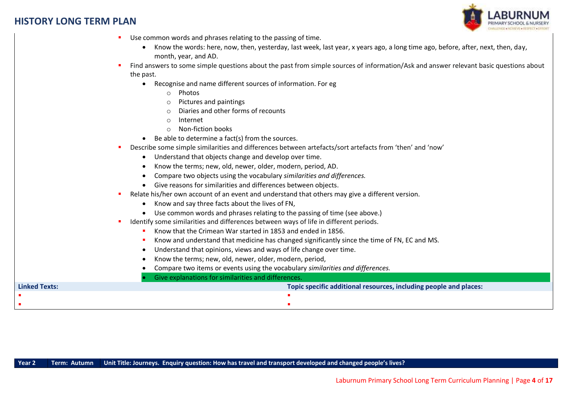

- Use common words and phrases relating to the passing of time.
	- Know the words: here, now, then, yesterday, last week, last year, x years ago, a long time ago, before, after, next, then, day, month, year, and AD.
- Find answers to some simple questions about the past from simple sources of information/Ask and answer relevant basic questions about the past.
	- Recognise and name different sources of information. For eg
		- o Photos
		- o Pictures and paintings
		- Diaries and other forms of recounts
		- o Internet
		- o Non-fiction books
	- $\bullet$  Be able to determine a fact(s) from the sources.
- Describe some simple similarities and differences between artefacts/sort artefacts from 'then' and 'now'
	- Understand that objects change and develop over time.
	- Know the terms; new, old, newer, older, modern, period, AD.
	- Compare two objects using the vocabulary *similarities and differences.*
	- Give reasons for similarities and differences between objects.
- Relate his/her own account of an event and understand that others may give a different version.
	- Know and say three facts about the lives of FN,
	- Use common words and phrases relating to the passing of time (see above.)
- Identify some similarities and differences between ways of life in different periods.
	- Know that the Crimean War started in 1853 and ended in 1856.
	- Know and understand that medicine has changed significantly since the time of FN, EC and MS.
	- Understand that opinions, views and ways of life change over time.
	- Know the terms; new, old, newer, older, modern, period,
	- Compare two items or events using the vocabulary *similarities and differences.*

|                      | Give explanations for similarities and differences.               |  |
|----------------------|-------------------------------------------------------------------|--|
| <b>Linked Texts:</b> | Topic specific additional resources, including people and places: |  |
|                      |                                                                   |  |
|                      |                                                                   |  |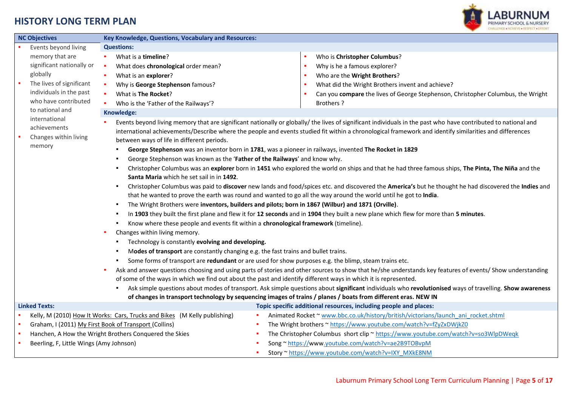

| <b>NC Objectives</b>                    | Key Knowledge, Questions, Vocabulary and Resources:                                                                                                        |                  |                                                                                                                                                                |  |  |
|-----------------------------------------|------------------------------------------------------------------------------------------------------------------------------------------------------------|------------------|----------------------------------------------------------------------------------------------------------------------------------------------------------------|--|--|
| Events beyond living                    | <b>Questions:</b>                                                                                                                                          |                  |                                                                                                                                                                |  |  |
| memory that are                         | What is a timeline?                                                                                                                                        | ٠                | Who is Christopher Columbus?                                                                                                                                   |  |  |
| significant nationally or               | What does chronological order mean?                                                                                                                        | ٠                | Why is he a famous explorer?                                                                                                                                   |  |  |
| globally                                | What is an explorer?                                                                                                                                       | ×.               | Who are the Wright Brothers?                                                                                                                                   |  |  |
| The lives of significant                | Why is George Stephenson famous?                                                                                                                           | ٠                | What did the Wright Brothers invent and achieve?                                                                                                               |  |  |
| individuals in the past                 | What is The Rocket?                                                                                                                                        | ٠                | Can you compare the lives of George Stephenson, Christopher Columbus, the Wright                                                                               |  |  |
| who have contributed                    | Who is the 'Father of the Railways'?                                                                                                                       | <b>Brothers?</b> |                                                                                                                                                                |  |  |
| to national and                         | Knowledge:                                                                                                                                                 |                  |                                                                                                                                                                |  |  |
| international                           |                                                                                                                                                            |                  | Events beyond living memory that are significant nationally or globally/ the lives of significant individuals in the past who have contributed to national and |  |  |
| achievements                            |                                                                                                                                                            |                  | international achievements/Describe where the people and events studied fit within a chronological framework and identify similarities and differences         |  |  |
| Changes within living                   | between ways of life in different periods.                                                                                                                 |                  |                                                                                                                                                                |  |  |
| memory                                  | George Stephenson was an inventor born in 1781, was a pioneer in railways, invented The Rocket in 1829<br>٠                                                |                  |                                                                                                                                                                |  |  |
|                                         | George Stephenson was known as the 'Father of the Railways' and know why.<br>٠                                                                             |                  |                                                                                                                                                                |  |  |
|                                         | ٠                                                                                                                                                          |                  | Christopher Columbus was an explorer born in 1451 who explored the world on ships and that he had three famous ships, The Pinta, The Niña and the              |  |  |
|                                         | Santa Maria which he set sail in in 1492.                                                                                                                  |                  |                                                                                                                                                                |  |  |
|                                         | Christopher Columbus was paid to discover new lands and food/spices etc. and discovered the America's but he thought he had discovered the Indies and<br>٠ |                  |                                                                                                                                                                |  |  |
|                                         | that he wanted to prove the earth was round and wanted to go all the way around the world until he got to India.                                           |                  |                                                                                                                                                                |  |  |
|                                         | The Wright Brothers were inventors, builders and pilots; born in 1867 (Wilbur) and 1871 (Orville).<br>$\blacksquare$                                       |                  |                                                                                                                                                                |  |  |
|                                         | In 1903 they built the first plane and flew it for 12 seconds and in 1904 they built a new plane which flew for more than 5 minutes.<br>$\blacksquare$     |                  |                                                                                                                                                                |  |  |
|                                         | Know where these people and events fit within a chronological framework (timeline).<br>$\blacksquare$                                                      |                  |                                                                                                                                                                |  |  |
|                                         | Changes within living memory.                                                                                                                              |                  |                                                                                                                                                                |  |  |
|                                         | Technology is constantly evolving and developing.<br>٠                                                                                                     |                  |                                                                                                                                                                |  |  |
|                                         | Modes of transport are constantly changing e.g. the fast trains and bullet trains.<br>٠                                                                    |                  |                                                                                                                                                                |  |  |
|                                         | Some forms of transport are redundant or are used for show purposes e.g. the blimp, steam trains etc.<br>٠                                                 |                  |                                                                                                                                                                |  |  |
|                                         |                                                                                                                                                            |                  | Ask and answer questions choosing and using parts of stories and other sources to show that he/she understands key features of events/ Show understanding      |  |  |
|                                         | of some of the ways in which we find out about the past and identify different ways in which it is represented.                                            |                  |                                                                                                                                                                |  |  |
|                                         |                                                                                                                                                            |                  | Ask simple questions about modes of transport. Ask simple questions about significant individuals who revolutionised ways of travelling. Show awareness        |  |  |
|                                         | of changes in transport technology by sequencing images of trains / planes / boats from different eras. NEW IN                                             |                  |                                                                                                                                                                |  |  |
| <b>Linked Texts:</b>                    |                                                                                                                                                            |                  | Topic specific additional resources, including people and places:                                                                                              |  |  |
|                                         | Kelly, M (2010) How It Works: Cars, Trucks and Bikes (M Kelly publishing)                                                                                  |                  | Animated Rocket ~ www.bbc.co.uk/history/british/victorians/launch ani rocket.shtml                                                                             |  |  |
| ×.                                      | Graham, I (2011) My First Book of Transport (Collins)                                                                                                      |                  | The Wright brothers ~ https://www.youtube.com/watch?v=fZyZxDWjkZ0                                                                                              |  |  |
| ×                                       | Hanchen, A How the Wright Brothers Conquered the Skies                                                                                                     |                  | The Christopher Columbus short clip ~ https://www.youtube.com/watch?v=so3WlpDWeqk                                                                              |  |  |
| Beerling, F, Little Wings (Amy Johnson) |                                                                                                                                                            |                  | Song ~ https://www.youtube.com/watch?v=ae2B9TOBvpM                                                                                                             |  |  |
|                                         |                                                                                                                                                            |                  | Story ~ https://www.youtube.com/watch?v=IXY_MXkE8NM                                                                                                            |  |  |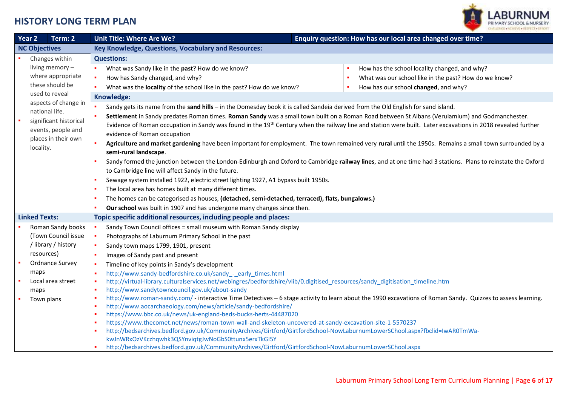

| Year <sub>2</sub> | Term: 2                                | Enquiry question: How has our local area changed over time?<br><b>Unit Title: Where Are We?</b>                                                                                 |
|-------------------|----------------------------------------|---------------------------------------------------------------------------------------------------------------------------------------------------------------------------------|
|                   | <b>NC Objectives</b>                   | Key Knowledge, Questions, Vocabulary and Resources:                                                                                                                             |
|                   | Changes within                         | <b>Questions:</b>                                                                                                                                                               |
|                   | living memory -                        | What was Sandy like in the past? How do we know?<br>How has the school locality changed, and why?                                                                               |
|                   | where appropriate                      | What was our school like in the past? How do we know?<br>How has Sandy changed, and why?<br>٠                                                                                   |
|                   | these should be<br>used to reveal      | How has our school changed, and why?<br>What was the locality of the school like in the past? How do we know?                                                                   |
|                   |                                        | Knowledge:                                                                                                                                                                      |
|                   | aspects of change in<br>national life. | Sandy gets its name from the sand hills - in the Domesday book it is called Sandeia derived from the Old English for sand island.                                               |
|                   | significant historical                 | Settlement in Sandy predates Roman times. Roman Sandy was a small town built on a Roman Road between St Albans (Verulamium) and Godmanchester.                                  |
|                   | events, people and                     | Evidence of Roman occupation in Sandy was found in the 19 <sup>th</sup> Century when the railway line and station were built. Later excavations in 2018 revealed further        |
|                   | places in their own                    | evidence of Roman occupation                                                                                                                                                    |
|                   | locality.                              | Agriculture and market gardening have been important for employment. The town remained very rural until the 1950s. Remains a small town surrounded by a                         |
|                   |                                        | semi-rural landscape.                                                                                                                                                           |
|                   |                                        | Sandy formed the junction between the London-Edinburgh and Oxford to Cambridge railway lines, and at one time had 3 stations. Plans to reinstate the Oxford                     |
|                   |                                        | to Cambridge line will affect Sandy in the future.                                                                                                                              |
|                   |                                        | Sewage system installed 1922, electric street lighting 1927, A1 bypass built 1950s.                                                                                             |
|                   |                                        | The local area has homes built at many different times.                                                                                                                         |
|                   |                                        | The homes can be categorised as houses, (detached, semi-detached, terraced), flats, bungalows.)                                                                                 |
|                   |                                        | Our school was built in 1907 and has undergone many changes since then.                                                                                                         |
|                   | <b>Linked Texts:</b>                   | Topic specific additional resources, including people and places:                                                                                                               |
|                   | Roman Sandy books                      | Sandy Town Council offices = small museum with Roman Sandy display                                                                                                              |
|                   | (Town Council issue                    | ×<br>Photographs of Laburnum Primary School in the past                                                                                                                         |
|                   | /library / history                     | Sandy town maps 1799, 1901, present                                                                                                                                             |
|                   | resources)                             | Images of Sandy past and present<br>×                                                                                                                                           |
|                   | Ordnance Survey                        | Timeline of key points in Sandy's development<br>×                                                                                                                              |
|                   | maps                                   | http://www.sandy-bedfordshire.co.uk/sandy_-_early_times.html                                                                                                                    |
|                   | Local area street                      | http://virtual-library.culturalservices.net/webingres/bedfordshire/vlib/0.digitised_resources/sandy_digitisation_timeline.htm<br>п                                              |
|                   | maps                                   | http://www.sandytowncouncil.gov.uk/about-sandy<br>×                                                                                                                             |
|                   | Town plans                             | http://www.roman-sandy.com/ - interactive Time Detectives - 6 stage activity to learn about the 1990 excavations of Roman Sandy. Quizzes to assess learning.                    |
|                   |                                        | http://www.aocarchaeology.com/news/article/sandy-bedfordshire/<br>۵                                                                                                             |
|                   |                                        | https://www.bbc.co.uk/news/uk-england-beds-bucks-herts-44487020<br>۵<br>https://www.thecomet.net/news/roman-town-wall-and-skeleton-uncovered-at-sandy-excavation-site-1-5570237 |
|                   |                                        | http://bedsarchives.bedford.gov.uk/CommunityArchives/Girtford/GirtfordSchool-NowLaburnumLowerSChool.aspx?fbclid=IwAR0TmWa-                                                      |
|                   |                                        | kwJnWRxOzVKczhqwhk3QSYnviqtgJwNoGbS0ttunx5erxTkGI5Y                                                                                                                             |
|                   |                                        | http://bedsarchives.bedford.gov.uk/CommunityArchives/Girtford/GirtfordSchool-NowLaburnumLowerSChool.aspx<br>٠                                                                   |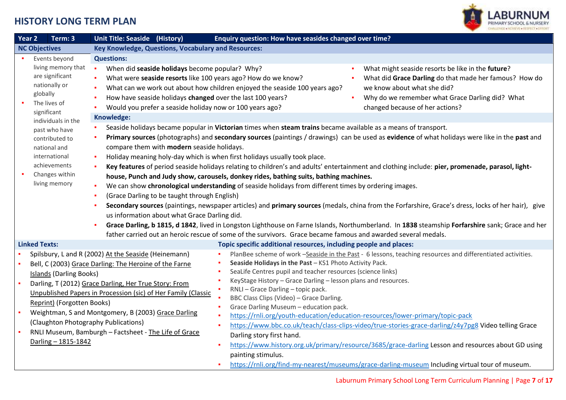

| Year 2               | Term: 3                                                                                | Unit Title: Seaside (History)                                                                                                                                                                                                                                                                                                           | Enquiry question: How have seasides changed over time?                                                                                                                                                                                                                                                                                                                                                                                                                                                                                                                                                                                                    |
|----------------------|----------------------------------------------------------------------------------------|-----------------------------------------------------------------------------------------------------------------------------------------------------------------------------------------------------------------------------------------------------------------------------------------------------------------------------------------|-----------------------------------------------------------------------------------------------------------------------------------------------------------------------------------------------------------------------------------------------------------------------------------------------------------------------------------------------------------------------------------------------------------------------------------------------------------------------------------------------------------------------------------------------------------------------------------------------------------------------------------------------------------|
| <b>NC Objectives</b> |                                                                                        | Key Knowledge, Questions, Vocabulary and Resources:                                                                                                                                                                                                                                                                                     |                                                                                                                                                                                                                                                                                                                                                                                                                                                                                                                                                                                                                                                           |
|                      | Events beyond                                                                          | <b>Questions:</b>                                                                                                                                                                                                                                                                                                                       |                                                                                                                                                                                                                                                                                                                                                                                                                                                                                                                                                                                                                                                           |
|                      | living memory that<br>are significant<br>nationally or<br>globally<br>The lives of     | When did seaside holidays become popular? Why?<br>×<br>What were seaside resorts like 100 years ago? How do we know?<br>How have seaside holidays changed over the last 100 years?<br>Would you prefer a seaside holiday now or 100 years ago?                                                                                          | What might seaside resorts be like in the future?<br>What did Grace Darling do that made her famous? How do<br>What can we work out about how children enjoyed the seaside 100 years ago?<br>we know about what she did?<br>Why do we remember what Grace Darling did? What<br>changed because of her actions?                                                                                                                                                                                                                                                                                                                                            |
|                      | significant                                                                            | Knowledge:                                                                                                                                                                                                                                                                                                                              |                                                                                                                                                                                                                                                                                                                                                                                                                                                                                                                                                                                                                                                           |
|                      | individuals in the<br>past who have<br>contributed to<br>national and<br>international | compare them with modern seaside holidays.<br>٠                                                                                                                                                                                                                                                                                         | Seaside holidays became popular in Victorian times when steam trains became available as a means of transport.<br>Primary sources (photographs) and secondary sources (paintings / drawings) can be used as evidence of what holidays were like in the past and<br>Holiday meaning holy-day which is when first holidays usually took place.                                                                                                                                                                                                                                                                                                              |
|                      | achievements<br>Changes within<br>living memory                                        | (Grace Darling to be taught through English)<br>us information about what Grace Darling did.                                                                                                                                                                                                                                            | Key features of period seaside holidays relating to children's and adults' entertainment and clothing include: pier, promenade, parasol, light-<br>house, Punch and Judy show, carousels, donkey rides, bathing suits, bathing machines.<br>We can show chronological understanding of seaside holidays from different times by ordering images.<br>Secondary sources (paintings, newspaper articles) and primary sources (medals, china from the Forfarshire, Grace's dress, locks of her hair), give<br>Grace Darling, b 1815, d 1842, lived in Longston Lighthouse on Farne Islands, Northumberland. In 1838 steamship Forfarshire sank; Grace and her |
|                      |                                                                                        |                                                                                                                                                                                                                                                                                                                                         | father carried out an heroic rescue of some of the survivors. Grace became famous and awarded several medals.                                                                                                                                                                                                                                                                                                                                                                                                                                                                                                                                             |
| <b>Linked Texts:</b> |                                                                                        |                                                                                                                                                                                                                                                                                                                                         | Topic specific additional resources, including people and places:                                                                                                                                                                                                                                                                                                                                                                                                                                                                                                                                                                                         |
|                      | <b>Islands (Darling Books)</b><br>Reprint) (Forgotten Books)                           | Spilsbury, L and R (2002) At the Seaside (Heinemann)<br>Bell, C (2003) Grace Darling: The Heroine of the Farne<br>Darling, T (2012) Grace Darling, Her True Story: From<br>Unpublished Papers in Procession (sic) of Her Family (Classic<br>Weightman, S and Montgomery, B (2003) Grace Darling<br>(Claughton Photography Publications) | PlanBee scheme of work -Seaside in the Past - 6 lessons, teaching resources and differentiated activities.<br>Seaside Holidays in the Past - KS1 Photo Activity Pack.<br>SeaLife Centres pupil and teacher resources (science links)<br>KeyStage History - Grace Darling - lesson plans and resources.<br>RNLI - Grace Darling - topic pack.<br>BBC Class Clips (Video) - Grace Darling.<br>Grace Darling Museum - education pack.<br>×<br>https://rnli.org/youth-education/education-resources/lower-primary/topic-pack<br>https://www.bbc.co.uk/teach/class-clips-video/true-stories-grace-darling/z4y7pg8 Video telling Grace<br>×                     |
|                      | Darling - 1815-1842                                                                    | RNLI Museum, Bamburgh - Factsheet - The Life of Grace                                                                                                                                                                                                                                                                                   | Darling story first hand.<br>https://www.history.org.uk/primary/resource/3685/grace-darling Lesson and resources about GD using<br>painting stimulus.<br>https://rnli.org/find-my-nearest/museums/grace-darling-museum Including virtual tour of museum.                                                                                                                                                                                                                                                                                                                                                                                                  |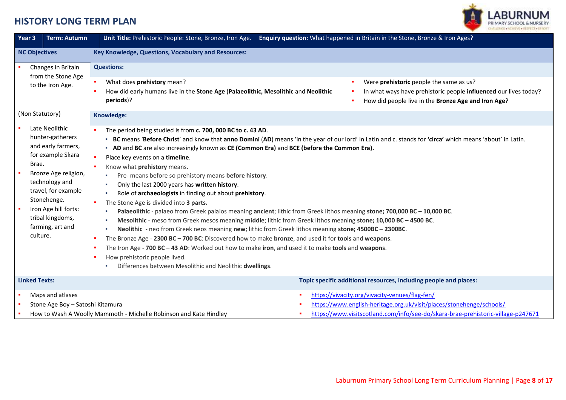

| <b>Term: Autumn</b><br>Year 3                                                                                                                                                                                                                      | Unit Title: Prehistoric People: Stone, Bronze, Iron Age.                                                                                                                                                                                                                                                                                                                                                                                                                                                                                                                                                                                                                                                                                               | Enquiry question: What happened in Britain in the Stone, Bronze & Iron Ages?                                                                                                                                                                                                                                                                                                                                                                                                                                        |  |
|----------------------------------------------------------------------------------------------------------------------------------------------------------------------------------------------------------------------------------------------------|--------------------------------------------------------------------------------------------------------------------------------------------------------------------------------------------------------------------------------------------------------------------------------------------------------------------------------------------------------------------------------------------------------------------------------------------------------------------------------------------------------------------------------------------------------------------------------------------------------------------------------------------------------------------------------------------------------------------------------------------------------|---------------------------------------------------------------------------------------------------------------------------------------------------------------------------------------------------------------------------------------------------------------------------------------------------------------------------------------------------------------------------------------------------------------------------------------------------------------------------------------------------------------------|--|
| <b>NC Objectives</b>                                                                                                                                                                                                                               | Key Knowledge, Questions, Vocabulary and Resources:                                                                                                                                                                                                                                                                                                                                                                                                                                                                                                                                                                                                                                                                                                    |                                                                                                                                                                                                                                                                                                                                                                                                                                                                                                                     |  |
| Changes in Britain<br>from the Stone Age                                                                                                                                                                                                           | <b>Questions:</b>                                                                                                                                                                                                                                                                                                                                                                                                                                                                                                                                                                                                                                                                                                                                      |                                                                                                                                                                                                                                                                                                                                                                                                                                                                                                                     |  |
| to the Iron Age.                                                                                                                                                                                                                                   | What does prehistory mean?<br>How did early humans live in the Stone Age (Palaeolithic, Mesolithic and Neolithic<br>periods)?                                                                                                                                                                                                                                                                                                                                                                                                                                                                                                                                                                                                                          | Were prehistoric people the same as us?<br>In what ways have prehistoric people influenced our lives today?<br>How did people live in the Bronze Age and Iron Age?                                                                                                                                                                                                                                                                                                                                                  |  |
| (Non Statutory)                                                                                                                                                                                                                                    | Knowledge:                                                                                                                                                                                                                                                                                                                                                                                                                                                                                                                                                                                                                                                                                                                                             |                                                                                                                                                                                                                                                                                                                                                                                                                                                                                                                     |  |
| Late Neolithic<br>hunter-gatherers<br>and early farmers,<br>for example Skara<br>Brae.<br>Bronze Age religion,<br>technology and<br>travel, for example<br>Stonehenge.<br>Iron Age hill forts:<br>tribal kingdoms,<br>farming, art and<br>culture. | The period being studied is from c. 700, 000 BC to c. 43 AD.<br>• AD and BC are also increasingly known as CE (Common Era) and BCE (before the Common Era).<br>Place key events on a timeline.<br>Know what prehistory means.<br>Pre- means before so prehistory means before history.<br>Only the last 2000 years has written history.<br>Role of archaeologists in finding out about prehistory.<br>The Stone Age is divided into 3 parts.<br>The Bronze Age - 2300 BC - 700 BC: Discovered how to make bronze, and used it for tools and weapons.<br>The Iron Age - 700 BC - 43 AD: Worked out how to make iron, and used it to make tools and weapons.<br>How prehistoric people lived.<br>Differences between Mesolithic and Neolithic dwellings. | - BC means 'Before Christ' and know that anno Domini (AD) means 'in the year of our lord' in Latin and c. stands for 'circa' which means 'about' in Latin.<br>Palaeolithic - palaeo from Greek palaios meaning ancient; lithic from Greek lithos meaning stone; 700,000 BC - 10,000 BC.<br>Mesolithic - meso from Greek mesos meaning middle; lithic from Greek lithos meaning stone; 10,000 BC - 4500 BC.<br>Neolithic - neo from Greek neos meaning new; lithic from Greek lithos meaning stone; 4500BC - 2300BC. |  |
| <b>Linked Texts:</b>                                                                                                                                                                                                                               |                                                                                                                                                                                                                                                                                                                                                                                                                                                                                                                                                                                                                                                                                                                                                        | Topic specific additional resources, including people and places:                                                                                                                                                                                                                                                                                                                                                                                                                                                   |  |
| Maps and atlases<br>Stone Age Boy - Satoshi Kitamura                                                                                                                                                                                               | How to Wash A Woolly Mammoth - Michelle Robinson and Kate Hindley                                                                                                                                                                                                                                                                                                                                                                                                                                                                                                                                                                                                                                                                                      | https://vivacity.org/vivacity-venues/flag-fen/<br>https://www.english-heritage.org.uk/visit/places/stonehenge/schools/<br>https://www.visitscotland.com/info/see-do/skara-brae-prehistoric-village-p247671                                                                                                                                                                                                                                                                                                          |  |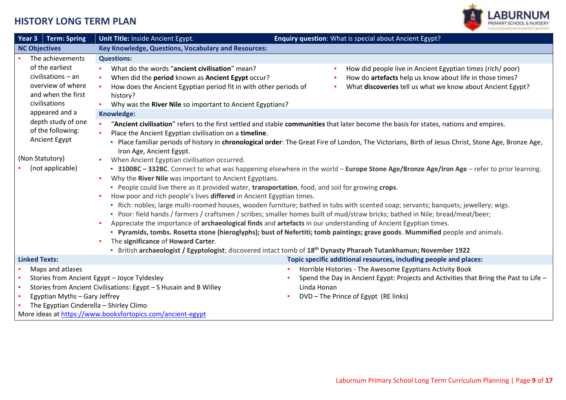

| <b>Term: Spring</b><br>Year 3                                                                                                                                                                                                              | Unit Title: Inside Ancient Egypt.                                                                                                                                                                                                                                                                                                                                                                                                                                                                                                                                                                                                                                                                                                               | Enquiry question: What is special about Ancient Egypt?                                                                                                                                                                                                                                                                                                                                                                                                                                                                                                                                                                                                                                                                                                                                                                                                                                                    |
|--------------------------------------------------------------------------------------------------------------------------------------------------------------------------------------------------------------------------------------------|-------------------------------------------------------------------------------------------------------------------------------------------------------------------------------------------------------------------------------------------------------------------------------------------------------------------------------------------------------------------------------------------------------------------------------------------------------------------------------------------------------------------------------------------------------------------------------------------------------------------------------------------------------------------------------------------------------------------------------------------------|-----------------------------------------------------------------------------------------------------------------------------------------------------------------------------------------------------------------------------------------------------------------------------------------------------------------------------------------------------------------------------------------------------------------------------------------------------------------------------------------------------------------------------------------------------------------------------------------------------------------------------------------------------------------------------------------------------------------------------------------------------------------------------------------------------------------------------------------------------------------------------------------------------------|
| <b>NC Objectives</b>                                                                                                                                                                                                                       | Key Knowledge, Questions, Vocabulary and Resources:                                                                                                                                                                                                                                                                                                                                                                                                                                                                                                                                                                                                                                                                                             |                                                                                                                                                                                                                                                                                                                                                                                                                                                                                                                                                                                                                                                                                                                                                                                                                                                                                                           |
| The achievements<br>of the earliest<br>civilisations - an<br>overview of where<br>and when the first<br>civilisations<br>appeared and a<br>depth study of one<br>of the following:<br>Ancient Egypt<br>(Non Statutory)<br>(not applicable) | <b>Questions:</b><br>What do the words "ancient civilisation" mean?<br>$\mathbf{r}$<br>When did the period known as Ancient Egypt occur?<br>$\blacksquare$<br>How does the Ancient Egyptian period fit in with other periods of<br>$\mathbf{r}$<br>history?<br>Why was the River Nile so important to Ancient Egyptians?<br>Knowledge:<br>Place the Ancient Egyptian civilisation on a timeline.<br>Iron Age, Ancient Egypt.<br>When Ancient Egyptian civilisation occurred.<br>$\mathbf{r}$<br>Why the River Nile was important to Ancient Egyptians.<br>ж.<br>- People could live there as it provided water, transportation, food, and soil for growing crops.<br>How poor and rich people's lives differed in Ancient Egyptian times.<br>×. | How did people live in Ancient Egyptian times (rich/poor)<br>How do artefacts help us know about life in those times?<br>What discoveries tell us what we know about Ancient Egypt?<br>"Ancient civilisation" refers to the first settled and stable communities that later become the basis for states, nations and empires.<br>- Place familiar periods of history in chronological order: The Great Fire of London, The Victorians, Birth of Jesus Christ, Stone Age, Bronze Age,<br>- 3100BC - 332BC. Connect to what was happening elsewhere in the world - Europe Stone Age/Bronze Age/Iron Age - refer to prior learning.<br>- Rich: nobles; large multi-roomed houses, wooden furniture; bathed in tubs with scented soap; servants; banquets; jewellery; wigs.<br>- Poor: field hands / farmers / craftsmen / scribes; smaller homes built of mud/straw bricks; bathed in Nile; bread/meat/beer; |
|                                                                                                                                                                                                                                            | $\blacksquare$<br>The significance of Howard Carter.<br>٠                                                                                                                                                                                                                                                                                                                                                                                                                                                                                                                                                                                                                                                                                       | Appreciate the importance of archaeological finds and artefacts in our understanding of Ancient Egyptian times.<br>- Pyramids, tombs. Rosetta stone (hieroglyphs); bust of Nefertiti; tomb paintings; grave goods. Mummified people and animals.<br>British archaeologist / Egyptologist; discovered intact tomb of 18 <sup>th</sup> Dynasty Pharaoh Tutankhamun; November 1922                                                                                                                                                                                                                                                                                                                                                                                                                                                                                                                           |
| <b>Linked Texts:</b>                                                                                                                                                                                                                       |                                                                                                                                                                                                                                                                                                                                                                                                                                                                                                                                                                                                                                                                                                                                                 | Topic specific additional resources, including people and places:                                                                                                                                                                                                                                                                                                                                                                                                                                                                                                                                                                                                                                                                                                                                                                                                                                         |
| Maps and atlases<br>Egyptian Myths - Gary Jeffrey<br>The Egyptian Cinderella - Shirley Climo                                                                                                                                               | Stories from Ancient Egypt - Joyce Tyldesley<br>Stories from Ancient Civilisations: Egypt - S Husain and B Willey<br>More ideas at https://www.booksfortopics.com/ancient-egypt                                                                                                                                                                                                                                                                                                                                                                                                                                                                                                                                                                 | Horrible Histories - The Awesome Egyptians Activity Book<br>Spend the Day in Ancient Egypt: Projects and Activities that Bring the Past to Life -<br>Linda Honan<br>DVD - The Prince of Egypt (RE links)                                                                                                                                                                                                                                                                                                                                                                                                                                                                                                                                                                                                                                                                                                  |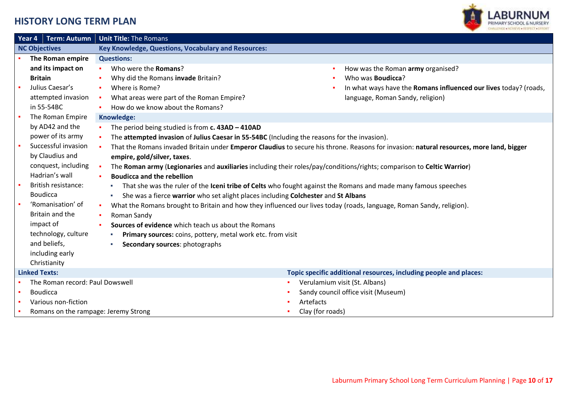

|                      | Term: Autumn<br>Year 4                                                                                                                                                                                                                                                           | <b>Unit Title: The Romans</b>                                                                                                                                                                                                                                                                                                                                                                                                                                                                                                                             |                                                                                                                                                                                                                                                                                                                                                                                                                                                                                                             |  |  |  |  |
|----------------------|----------------------------------------------------------------------------------------------------------------------------------------------------------------------------------------------------------------------------------------------------------------------------------|-----------------------------------------------------------------------------------------------------------------------------------------------------------------------------------------------------------------------------------------------------------------------------------------------------------------------------------------------------------------------------------------------------------------------------------------------------------------------------------------------------------------------------------------------------------|-------------------------------------------------------------------------------------------------------------------------------------------------------------------------------------------------------------------------------------------------------------------------------------------------------------------------------------------------------------------------------------------------------------------------------------------------------------------------------------------------------------|--|--|--|--|
| <b>NC Objectives</b> |                                                                                                                                                                                                                                                                                  | Key Knowledge, Questions, Vocabulary and Resources:                                                                                                                                                                                                                                                                                                                                                                                                                                                                                                       |                                                                                                                                                                                                                                                                                                                                                                                                                                                                                                             |  |  |  |  |
|                      | The Roman empire                                                                                                                                                                                                                                                                 | <b>Questions:</b>                                                                                                                                                                                                                                                                                                                                                                                                                                                                                                                                         |                                                                                                                                                                                                                                                                                                                                                                                                                                                                                                             |  |  |  |  |
|                      | and its impact on<br><b>Britain</b><br>Julius Caesar's<br>attempted invasion<br>in 55-54BC                                                                                                                                                                                       | Who were the Romans?<br>$\mathbf{r}$<br>Why did the Romans invade Britain?<br>Where is Rome?<br>$\mathbf{r}$<br>What areas were part of the Roman Empire?<br>$\mathbf{R}^{\mathrm{max}}$<br>How do we know about the Romans?<br>$\mathbf{r}$                                                                                                                                                                                                                                                                                                              | How was the Roman army organised?<br>Who was <b>Boudicca?</b><br>In what ways have the Romans influenced our lives today? (roads,<br>language, Roman Sandy, religion)                                                                                                                                                                                                                                                                                                                                       |  |  |  |  |
|                      | The Roman Empire                                                                                                                                                                                                                                                                 | Knowledge:                                                                                                                                                                                                                                                                                                                                                                                                                                                                                                                                                |                                                                                                                                                                                                                                                                                                                                                                                                                                                                                                             |  |  |  |  |
|                      | by AD42 and the<br>power of its army<br>Successful invasion<br>by Claudius and<br>conquest, including<br>Hadrian's wall<br>British resistance:<br><b>Boudicca</b><br>'Romanisation' of<br>Britain and the<br>impact of<br>technology, culture<br>and beliefs,<br>including early | The period being studied is from $c$ . 43AD - 410AD<br>The attempted invasion of Julius Caesar in 55-54BC (Including the reasons for the invasion).<br>$\mathbf{r}$<br>$\mathbf{r}$<br>empire, gold/silver, taxes.<br>$\mathbf{r}$<br><b>Boudicca and the rebellion</b><br>$\mathbf{r}$<br>She was a fierce warrior who set alight places including Colchester and St Albans<br>ж.<br>Roman Sandy<br>Sources of evidence which teach us about the Romans<br>Primary sources: coins, pottery, metal work etc. from visit<br>Secondary sources: photographs | That the Romans invaded Britain under Emperor Claudius to secure his throne. Reasons for invasion: natural resources, more land, bigger<br>The Roman army (Legionaries and auxiliaries including their roles/pay/conditions/rights; comparison to Celtic Warrior)<br>That she was the ruler of the Iceni tribe of Celts who fought against the Romans and made many famous speeches<br>What the Romans brought to Britain and how they influenced our lives today (roads, language, Roman Sandy, religion). |  |  |  |  |
|                      | Christianity                                                                                                                                                                                                                                                                     |                                                                                                                                                                                                                                                                                                                                                                                                                                                                                                                                                           |                                                                                                                                                                                                                                                                                                                                                                                                                                                                                                             |  |  |  |  |
|                      | <b>Linked Texts:</b>                                                                                                                                                                                                                                                             |                                                                                                                                                                                                                                                                                                                                                                                                                                                                                                                                                           | Topic specific additional resources, including people and places:                                                                                                                                                                                                                                                                                                                                                                                                                                           |  |  |  |  |
|                      | The Roman record: Paul Dowswell<br><b>Boudicca</b><br>Various non-fiction<br>Romans on the rampage: Jeremy Strong                                                                                                                                                                |                                                                                                                                                                                                                                                                                                                                                                                                                                                                                                                                                           | Verulamium visit (St. Albans)<br>Sandy council office visit (Museum)<br>Artefacts<br>Clay (for roads)                                                                                                                                                                                                                                                                                                                                                                                                       |  |  |  |  |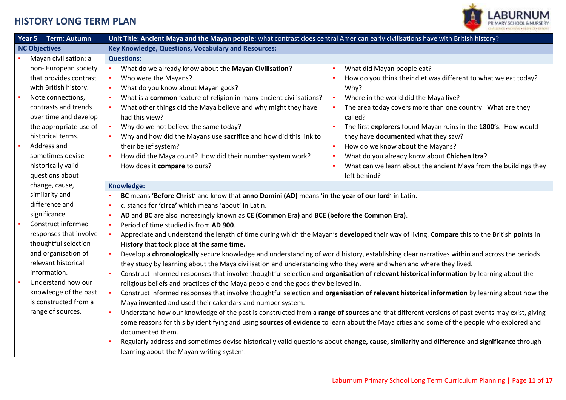

| Year 5<br><b>Term: Autumn</b>                 | Unit Title: Ancient Maya and the Mayan people: what contrast does central American early civilisations have with British history?                                                                                                                               |
|-----------------------------------------------|-----------------------------------------------------------------------------------------------------------------------------------------------------------------------------------------------------------------------------------------------------------------|
| <b>NC Objectives</b>                          | Key Knowledge, Questions, Vocabulary and Resources:                                                                                                                                                                                                             |
| Mayan civilisation: a                         | <b>Questions:</b>                                                                                                                                                                                                                                               |
| non-European society                          | What do we already know about the Mayan Civilisation?<br>What did Mayan people eat?<br>٠                                                                                                                                                                        |
| that provides contrast                        | Who were the Mayans?<br>How do you think their diet was different to what we eat today?<br>$\blacksquare$                                                                                                                                                       |
| with British history.                         | What do you know about Mayan gods?<br>Why?<br>$\blacksquare$                                                                                                                                                                                                    |
| Note connections,                             | What is a common feature of religion in many ancient civilisations?<br>Where in the world did the Maya live?<br>×<br>$\mathbf{r}$                                                                                                                               |
| contrasts and trends<br>over time and develop | What other things did the Maya believe and why might they have<br>The area today covers more than one country. What are they<br>×<br>$\blacksquare$<br>had this view?<br>called?                                                                                |
| the appropriate use of                        | Why do we not believe the same today?<br>The first explorers found Mayan ruins in the 1800's. How would<br>×<br>$\blacksquare$                                                                                                                                  |
| historical terms.                             | Why and how did the Mayans use sacrifice and how did this link to<br>they have documented what they saw?                                                                                                                                                        |
| Address and                                   | How do we know about the Mayans?<br>their belief system?<br>$\blacksquare$                                                                                                                                                                                      |
| sometimes devise                              | How did the Maya count? How did their number system work?<br>What do you already know about Chichen Itza?                                                                                                                                                       |
| historically valid                            | What can we learn about the ancient Maya from the buildings they<br>How does it compare to ours?                                                                                                                                                                |
| questions about                               | left behind?                                                                                                                                                                                                                                                    |
| change, cause,                                | Knowledge:                                                                                                                                                                                                                                                      |
| similarity and                                | BC means 'Before Christ' and know that anno Domini (AD) means 'in the year of our lord' in Latin.                                                                                                                                                               |
| difference and                                | c. stands for 'circa' which means 'about' in Latin.                                                                                                                                                                                                             |
| significance.                                 | AD and BC are also increasingly known as CE (Common Era) and BCE (before the Common Era).<br>×                                                                                                                                                                  |
| Construct informed                            | Period of time studied is from AD 900.<br>×                                                                                                                                                                                                                     |
| responses that involve                        | Appreciate and understand the length of time during which the Mayan's developed their way of living. Compare this to the British points in                                                                                                                      |
| thoughtful selection                          | History that took place at the same time.                                                                                                                                                                                                                       |
| and organisation of<br>relevant historical    | Develop a chronologically secure knowledge and understanding of world history, establishing clear narratives within and across the periods<br>they study by learning about the Maya civilisation and understanding who they were and when and where they lived. |
| information.                                  | Construct informed responses that involve thoughtful selection and organisation of relevant historical information by learning about the                                                                                                                        |
| Understand how our                            | religious beliefs and practices of the Maya people and the gods they believed in.                                                                                                                                                                               |
| knowledge of the past                         | Construct informed responses that involve thoughtful selection and organisation of relevant historical information by learning about how the                                                                                                                    |
| is constructed from a                         | Maya invented and used their calendars and number system.                                                                                                                                                                                                       |
| range of sources.                             | Understand how our knowledge of the past is constructed from a range of sources and that different versions of past events may exist, giving                                                                                                                    |
|                                               | some reasons for this by identifying and using sources of evidence to learn about the Maya cities and some of the people who explored and<br>documented them.                                                                                                   |
|                                               | Regularly address and sometimes devise historically valid questions about change, cause, similarity and difference and significance through                                                                                                                     |
|                                               | learning about the Mayan writing system.                                                                                                                                                                                                                        |
|                                               |                                                                                                                                                                                                                                                                 |
|                                               |                                                                                                                                                                                                                                                                 |
|                                               | Laburnum Primary School Long Term Curriculum Planning   Page 11 of 17                                                                                                                                                                                           |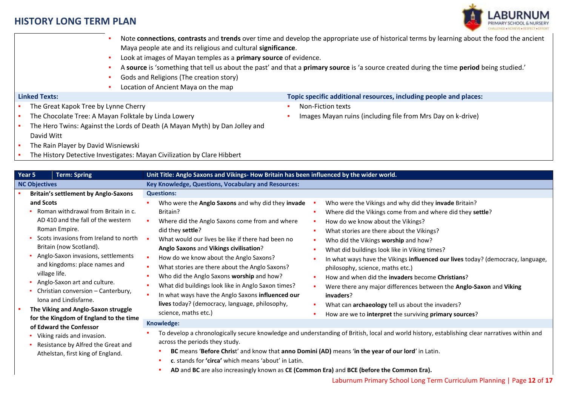

Maya people ate and its religious and cultural **significance**. Look at images of Mayan temples as a **primary source** of evidence. ▪ A **source** is 'something that tell us about the past' and that a **primary source** is 'a source created during the time **period** being studied.' Gods and Religions (The creation story) Location of Ancient Maya on the map **Linked Texts: Topic specific additional resources, including people and places:** The Great Kapok Tree by Lynne Cherry The Chocolate Tree: A Mayan Folktale by Linda Lowery The Hero Twins: Against the Lords of Death (A Mayan Myth) by Dan Jolley and David Witt **• The Rain Player by David Wisniewski** The History Detective Investigates: Mayan Civilization by Clare Hibbert Non-Fiction texts Images Mayan ruins (including file from Mrs Day on k-drive) **Year 5 Term: Spring Unit Title: Anglo Saxons and Vikings- How Britain has been influenced by the wider world. NC Objectives Key Knowledge, Questions, Vocabulary and Resources:** ▪ **Britain's settlement by Anglo-Saxons and Scots** ▪ Roman withdrawal from Britain in c. AD 410 and the fall of the western Roman Empire. Scots invasions from Ireland to north Britain (now Scotland). Anglo-Saxon invasions, settlements and kingdoms: place names and village life. Anglo-Saxon art and culture. Christian conversion – Canterbury, Iona and Lindisfarne. ▪ **The Viking and Anglo-Saxon struggle for the Kingdom of England to the time of Edward the Confessor** ▪ Viking raids and invasion. **Questions:** ▪ Who were the **Anglo Saxons** and why did they **invade**  Britain? Where did the Anglo Saxons come from and where did they **settle**? ▪ What would our lives be like if there had been no **Anglo Saxons** and **Vikings civilisation**? ▪ How do we know about the Anglo Saxons? **•** What stories are there about the Anglo Saxons? ▪ Who did the Anglo Saxons **worship** and how? What did buildings look like in Anglo Saxon times? In what ways have the Anglo Saxons **influenced our lives** today? (democracy, language, philosophy, science, maths etc.) Who were the Vikings and why did they **invade** Britain? Where did the Vikings come from and where did they settle? **•** How do we know about the Vikings? What stories are there about the Vikings? ▪ Who did the Vikings **worship** and how? **•** What did buildings look like in Viking times? ▪ In what ways have the Vikings **influenced our lives** today? (democracy, language, philosophy, science, maths etc.) ▪ How and when did the **invaders** become **Christians**? ▪ Were there any major differences between the **Anglo-Saxon** and **Viking invaders**? ▪ What can **archaeology** tell us about the invaders? ▪ How are we to **interpret** the surviving **primary sources**? **Knowledge:** To develop a chronologically secure knowledge and understanding of British, local and world history, establishing clear narratives within and

Note **connections**, **contrasts** and **trends** over time and develop the appropriate use of historical terms by learning about the food the ancient

- Resistance by Alfred the Great and Athelstan, first king of England.
- **BC** means '**Before Chris**t' and know that **anno Domini (AD)** means '**in the year of our lord**' in Latin.
- **c**. stands for **'circa'** which means 'about' in Latin.

across the periods they study.

▪ **AD** and **BC** are also increasingly known as **CE (Common Era)** and **BCE (before the Common Era).**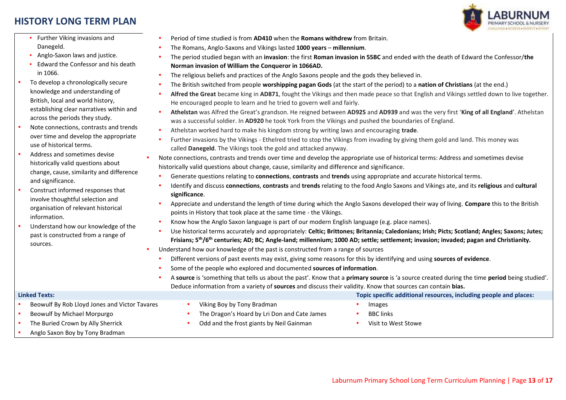

- Further Viking invasions and Danegeld.
- **Anglo-Saxon laws and justice.**
- Edward the Confessor and his death in 1066.
- To develop a chronologically secure knowledge and understanding of British, local and world history, establishing clear narratives within and across the periods they study.
- Note connections, contrasts and trends over time and develop the appropriate use of historical terms.
- Address and sometimes devise historically valid questions about change, cause, similarity and difference and significance.
- Construct informed responses that involve thoughtful selection and organisation of relevant historical information.
- **■** Understand how our knowledge of the past is constructed from a range of sources.
- Period of time studied is from **AD410** when the **Romans withdrew** from Britain.
- The Romans, Anglo-Saxons and Vikings lasted **1000 years millennium**.
- The period studied began with an **invasion**: the first **Roman invasion in 55BC** and ended with the death of Edward the Confessor/**the Norman invasion of William the Conqueror in 1066AD.**
- The religious beliefs and practices of the Anglo Saxons people and the gods they believed in.
- The British switched from people **worshipping pagan Gods** (at the start of the period) to a **nation of Christians** (at the end.)
- Alfred the Great became king in AD871, fought the Vikings and then made peace so that English and Vikings settled down to live together. He encouraged people to learn and he tried to govern well and fairly.
- **Athelstan** was Alfred the Great's grandson. He reigned between **AD925** and **AD939** and was the very first '**King of all England**'. Athelstan was a successful soldier. In **AD920** he took York from the Vikings and pushed the boundaries of England.
- Athelstan worked hard to make his kingdom strong by writing laws and encouraging **trade**.
- Further invasions by the Vikings Ethelred tried to stop the Vikings from invading by giving them gold and land. This money was called **Danegeld**. The Vikings took the gold and attacked anyway.
- Note connections, contrasts and trends over time and develop the appropriate use of historical terms: Address and sometimes devise historically valid questions about change, cause, similarity and difference and significance.
- Generate questions relating to **connections**, **contrasts** and **trends** using appropriate and accurate historical terms.
- Identify and discuss **connections**, **contrasts** and **trends** relating to the food Anglo Saxons and Vikings ate, and its **religious** and **cultural significance**.
- Appreciate and understand the length of time during which the Anglo Saxons developed their way of living. Compare this to the British points in History that took place at the same time - the Vikings.
- Know how the Anglo Saxon language is part of our modern English language (e.g. place names).
- Use historical terms accurately and appropriately: Celtic; Brittones; Britannia; Caledonians; Irish; Picts; Scotland; Angles; Saxons; Jutes; **Frisians; 5th/6th centuries; AD; BC; Angle-land; millennium; 1000 AD; settle; settlement; invasion; invaded; pagan and Christianity.**
- Understand how our knowledge of the past is constructed from a range of sources
	- Different versions of past events may exist, giving some reasons for this by identifying and using **sources of evidence**.
	- Some of the people who explored and documented **sources of information**.
	- A **source** is 'something that tells us about the past'. Know that a **primary source** is 'a source created during the time **period** being studied'. Deduce information from a variety of **sources** and discuss their validity. Know that sources can contain **bias.**

| <b>Linked Texts:</b>                          |  |                                              | Topic specific additional resources, including people and places: |  |  |
|-----------------------------------------------|--|----------------------------------------------|-------------------------------------------------------------------|--|--|
| Beowulf By Rob Lloyd Jones and Victor Tavares |  | Viking Boy by Tony Bradman                   | Images                                                            |  |  |
| Beowulf by Michael Morpurgo                   |  | The Dragon's Hoard by Lri Don and Cate James | <b>BBC</b> links                                                  |  |  |
| The Buried Crown by Ally Sherrick             |  | Odd and the frost giants by Neil Gainman     | Visit to West Stowe                                               |  |  |
| Anglo Saxon Boy by Tony Bradman               |  |                                              |                                                                   |  |  |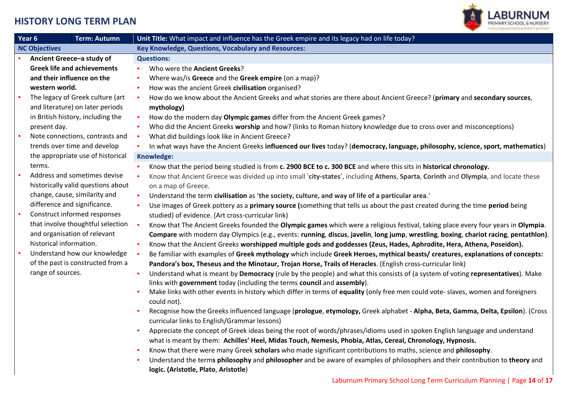

| Year 6<br><b>Term: Autumn</b> |                                    | Unit Title: What impact and influence has the Greek empire and its legacy had on life today?                                             |
|-------------------------------|------------------------------------|------------------------------------------------------------------------------------------------------------------------------------------|
| <b>NC Objectives</b>          |                                    | Key Knowledge, Questions, Vocabulary and Resources:                                                                                      |
|                               | Ancient Greece-a study of          | <b>Questions:</b>                                                                                                                        |
|                               | <b>Greek life and achievements</b> | Who were the Ancient Greeks?                                                                                                             |
|                               | and their influence on the         | Where was/is Greece and the Greek empire (on a map)?                                                                                     |
|                               | western world.                     | How was the ancient Greek civilisation organised?<br>٠                                                                                   |
|                               | The legacy of Greek culture (art   | How do we know about the Ancient Greeks and what stories are there about Ancient Greece? (primary and secondary sources,                 |
|                               | and literature) on later periods   | mythology)                                                                                                                               |
|                               | in British history, including the  | How do the modern day Olympic games differ from the Ancient Greek games?                                                                 |
|                               | present day.                       | Who did the Ancient Greeks worship and how? (links to Roman history knowledge due to cross over and misconceptions)                      |
| ×                             | Note connections, contrasts and    | What did buildings look like in Ancient Greece?<br>$\sim$                                                                                |
|                               | trends over time and develop       | In what ways have the Ancient Greeks influenced our lives today? (democracy, language, philosophy, science, sport, mathematics)          |
|                               | the appropriate use of historical  | Knowledge:                                                                                                                               |
|                               | terms.                             | Know that the period being studied is from c. 2900 BCE to c. 300 BCE and where this sits in historical chronology.                       |
|                               | Address and sometimes devise       | Know that Ancient Greece was divided up into small 'city-states', including Athens, Sparta, Corinth and Olympia, and locate these        |
|                               | historically valid questions about | on a map of Greece.                                                                                                                      |
|                               | change, cause, similarity and      | Understand the term civilisation as 'the society, culture, and way of life of a particular area.'                                        |
|                               | difference and significance.       | Use images of Greek pottery as a primary source (something that tells us about the past created during the time period being             |
|                               | Construct informed responses       | studied) of evidence. (Art cross-curricular link)                                                                                        |
|                               | that involve thoughtful selection  | - 1<br>Know that The Ancient Greeks founded the Olympic games which were a religious festival, taking place every four years in Olympia. |
|                               | and organisation of relevant       | Compare with modern day Olympics (e.g., events: running, discus, javelin, long jump, wrestling, boxing, chariot racing, pentathlon).     |
|                               | historical information.            | Know that the Ancient Greeks worshipped multiple gods and goddesses (Zeus, Hades, Aphrodite, Hera, Athena, Poseidon).                    |
|                               | Understand how our knowledge       | Be familiar with examples of Greek mythology which include Greek Heroes, mythical beasts/ creatures, explanations of concepts:           |
|                               | of the past is constructed from a  | Pandora's box, Theseus and the Minotaur, Trojan Horse, Trails of Heracles. (English cross-curricular link)                               |
|                               | range of sources.                  | Understand what is meant by Democracy (rule by the people) and what this consists of (a system of voting representatives). Make          |
|                               |                                    | links with government today (including the terms council and assembly).                                                                  |
|                               |                                    | Make links with other events in history which differ in terms of equality (only free men could vote- slaves, women and foreigners        |
|                               |                                    | could not).                                                                                                                              |
|                               |                                    | Recognise how the Greeks influenced language (prologue, etymology, Greek alphabet - Alpha, Beta, Gamma, Delta, Epsilon). (Cross          |
|                               |                                    | curricular links to English/Grammar lessons)                                                                                             |
|                               |                                    | Appreciate the concept of Greek ideas being the root of words/phrases/idioms used in spoken English language and understand              |
|                               |                                    | what is meant by them: Achilles' Heel, Midas Touch, Nemesis, Phobia, Atlas, Cereal, Chronology, Hypnosis.                                |
|                               |                                    | Know that there were many Greek scholars who made significant contributions to maths, science and philosophy.                            |
|                               |                                    | Understand the terms philosophy and philosopher and be aware of examples of philosophers and their contribution to theory and            |
|                               |                                    | logic. (Aristotle, Plato, Aristotle)                                                                                                     |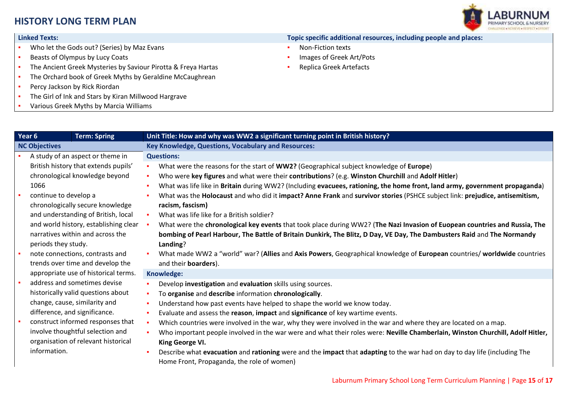

- Who let the Gods out? (Series) by Maz Evans
- Beasts of Olympus by Lucy Coats
- The Ancient Greek Mysteries by Saviour Pirotta & Freya Hartas
- The Orchard book of Greek Myths by Geraldine McCaughrean
- Percy Jackson by Rick Riordan
- The Girl of Ink and Stars by Kiran Millwood Hargrave
- Various Greek Myths by Marcia Williams

#### **Linked Texts: Topic specific additional resources, including people and places:**

- Non-Fiction texts
- Images of Greek Art/Pots
- Replica Greek Artefacts

| Year 6                               | <b>Term: Spring</b>                     | Unit Title: How and why was WW2 a significant turning point in British history?                                                |
|--------------------------------------|-----------------------------------------|--------------------------------------------------------------------------------------------------------------------------------|
| <b>NC Objectives</b>                 |                                         | Key Knowledge, Questions, Vocabulary and Resources:                                                                            |
|                                      | A study of an aspect or theme in        | <b>Questions:</b>                                                                                                              |
|                                      | British history that extends pupils'    | What were the reasons for the start of WW2? (Geographical subject knowledge of Europe)                                         |
|                                      | chronological knowledge beyond          | Who were key figures and what were their contributions? (e.g. Winston Churchill and Adolf Hitler)<br>$\mathbf{r}$              |
| 1066                                 |                                         | What was life like in Britain during WW2? (Including evacuees, rationing, the home front, land army, government propaganda)    |
| continue to develop a                |                                         | What was the Holocaust and who did it impact? Anne Frank and survivor stories (PSHCE subject link: prejudice, antisemitism,    |
|                                      | chronologically secure knowledge        | racism, fascism)                                                                                                               |
|                                      | and understanding of British, local     | What was life like for a British soldier?                                                                                      |
|                                      | and world history, establishing clear • | What were the chronological key events that took place during WW2? (The Nazi Invasion of Euopean countries and Russia, The     |
|                                      | narratives within and across the        | bombing of Pearl Harbour, The Battle of Britain Dunkirk, The Blitz, D Day, VE Day, The Dambusters Raid and The Normandy        |
| periods they study.                  |                                         | Landing?                                                                                                                       |
|                                      | note connections, contrasts and         | What made WW2 a "world" war? (Allies and Axis Powers, Geographical knowledge of European countries/ worldwide countries        |
|                                      | trends over time and develop the        | and their boarders).                                                                                                           |
| appropriate use of historical terms. | Knowledge:                              |                                                                                                                                |
|                                      | address and sometimes devise            | Develop investigation and evaluation skills using sources.                                                                     |
|                                      | historically valid questions about      | To organise and describe information chronologically.                                                                          |
|                                      | change, cause, similarity and           | Understand how past events have helped to shape the world we know today.<br>٠                                                  |
|                                      | difference, and significance.           | Evaluate and assess the reason, impact and significance of key wartime events.                                                 |
|                                      | construct informed responses that       | Which countries were involved in the war, why they were involved in the war and where they are located on a map.<br>٠          |
|                                      | involve thoughtful selection and        | Who important people involved in the war were and what their roles were: Neville Chamberlain, Winston Churchill, Adolf Hitler, |
|                                      | organisation of relevant historical     | King George VI.                                                                                                                |
| information.                         |                                         | Describe what evacuation and rationing were and the impact that adapting to the war had on day to day life (including The      |
|                                      |                                         | Home Front, Propaganda, the role of women)                                                                                     |
|                                      |                                         |                                                                                                                                |
|                                      |                                         | Laburnum Primary School Long Term Curriculum Planning   Page 15 of 17                                                          |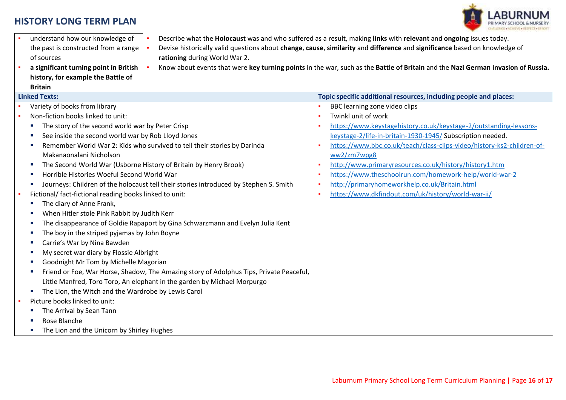

- understand how our knowledge of the past is constructed from a range of sources
- **a significant turning point in British history, for example the Battle of Britain**

- Variety of books from library
- Non-fiction books linked to unit:
	- The story of the second world war by Peter Crisp
	- See inside the second world war by Rob Lloyd Jones
	- Remember World War 2: Kids who survived to tell their stories by Darinda Makanaonalani Nicholson
	- **The Second World War (Usborne History of Britain by Henry Brook)**
	- **Horrible Histories Woeful Second World War**
	- Journeys: Children of the holocaust tell their stories introduced by Stephen S. Smith
- Fictional/ fact-fictional reading books linked to unit:
	- **The diary of Anne Frank,**
	- When Hitler stole Pink Rabbit by Judith Kerr
	- The disappearance of Goldie Rapaport by Gina Schwarzmann and Evelyn Julia Kent
	- The boy in the striped pyjamas by John Boyne
	- Carrie's War by Nina Bawden
	- My secret war diary by Flossie Albright
	- Goodnight Mr Tom by Michelle Magorian
	- Friend or Foe, War Horse, Shadow, The Amazing story of Adolphus Tips, Private Peaceful, Little Manfred, Toro Toro, An elephant in the garden by Michael Morpurgo
	- **F** The Lion, the Witch and the Wardrobe by Lewis Carol
- Picture books linked to unit:
	- The Arrival by Sean Tann
	- Rose Blanche
	- **The Lion and the Unicorn by Shirley Hughes**
- Describe what the **Holocaust** was and who suffered as a result, making **links** with **relevant** and **ongoing** issues today.
- Devise historically valid questions about **change**, **cause**, **similarity** and **difference** and **significance** based on knowledge of **rationing** during World War 2.
- Know about events that were **key turning points** in the war, such as the **Battle of Britain** and the **Nazi German invasion of Russia.**

#### **Linked Texts: Topic specific additional resources, including people and places:**

- **BBC learning zone video clips**
- Twinkl unit of work
- [https://www.keystagehistory.co.uk/keystage-2/outstanding-lessons](https://www.keystagehistory.co.uk/keystage-2/outstanding-lessons-keystage-2/life-in-britain-1930-1945/)[keystage-2/life-in-britain-1930-1945/](https://www.keystagehistory.co.uk/keystage-2/outstanding-lessons-keystage-2/life-in-britain-1930-1945/) Subscription needed.
- [https://www.bbc.co.uk/teach/class-clips-video/history-ks2-children-of](https://www.bbc.co.uk/teach/class-clips-video/history-ks2-children-of-ww2/zm7wpg8)[ww2/zm7wpg8](https://www.bbc.co.uk/teach/class-clips-video/history-ks2-children-of-ww2/zm7wpg8)
- <http://www.primaryresources.co.uk/history/history1.htm>
- <https://www.theschoolrun.com/homework-help/world-war-2>
- <http://primaryhomeworkhelp.co.uk/Britain.html>
- <https://www.dkfindout.com/uk/history/world-war-ii/>